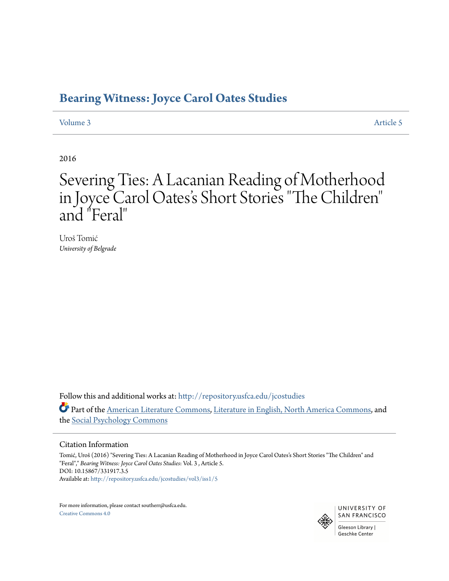### **[Bearing Witness: Joyce Carol Oates Studies](http://repository.usfca.edu/jcostudies?utm_source=repository.usfca.edu%2Fjcostudies%2Fvol3%2Fiss1%2F5&utm_medium=PDF&utm_campaign=PDFCoverPages)**

[Volume 3](http://repository.usfca.edu/jcostudies/vol3?utm_source=repository.usfca.edu%2Fjcostudies%2Fvol3%2Fiss1%2F5&utm_medium=PDF&utm_campaign=PDFCoverPages) [Article 5](http://repository.usfca.edu/jcostudies/vol3/iss1/5?utm_source=repository.usfca.edu%2Fjcostudies%2Fvol3%2Fiss1%2F5&utm_medium=PDF&utm_campaign=PDFCoverPages)

2016

## Severing Ties: A Lacanian Reading of Motherhood in Joyce Carol Oates 's Short Stories "The Children " and "Feral"

Uroš Tomić *University of Belgrade*

Follow this and additional works at: [http://repository.usfca.edu/jcostudies](http://repository.usfca.edu/jcostudies?utm_source=repository.usfca.edu%2Fjcostudies%2Fvol3%2Fiss1%2F5&utm_medium=PDF&utm_campaign=PDFCoverPages) Part of the [American Literature Commons,](http://network.bepress.com/hgg/discipline/441?utm_source=repository.usfca.edu%2Fjcostudies%2Fvol3%2Fiss1%2F5&utm_medium=PDF&utm_campaign=PDFCoverPages) [Literature in English, North America Commons](http://network.bepress.com/hgg/discipline/458?utm_source=repository.usfca.edu%2Fjcostudies%2Fvol3%2Fiss1%2F5&utm_medium=PDF&utm_campaign=PDFCoverPages), and the [Social Psychology Commons](http://network.bepress.com/hgg/discipline/414?utm_source=repository.usfca.edu%2Fjcostudies%2Fvol3%2Fiss1%2F5&utm_medium=PDF&utm_campaign=PDFCoverPages)

#### Citation Information

Tomić, Uroš (2016) "Severing Ties: A Lacanian Reading of Motherhood in Joyce Carol Oates's Short Stories "The Children" and "Feral"," *Bearing Witness: Joyce Carol Oates Studies*: Vol. 3 , Article 5. DOI: 10.15867/331917.3.5 Available at: [http://repository.usfca.edu/jcostudies/vol3/iss1/5](http://repository.usfca.edu/jcostudies/vol3/iss1/5?utm_source=repository.usfca.edu%2Fjcostudies%2Fvol3%2Fiss1%2F5&utm_medium=PDF&utm_campaign=PDFCoverPages)

For more information, please contact southerr@usfca.edu. [Creative Commons 4.0](http://creativecommons.org/licenses/by/4.0/)

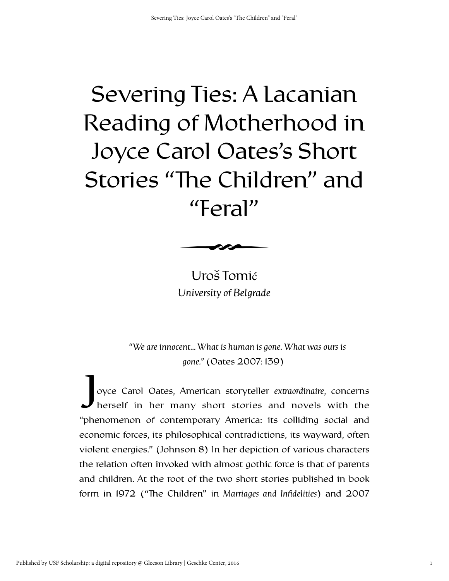# Severing Ties: A Lacanian Reading of Motherhood in Joyce Carol Oates's Short Stories "The Children" and "Feral"



Uroš Tomić *University of Belgrade*

*"We are innocent… What is human is gone. What was ours is gone."* (Oates 2007: 139)

oyce Carol Oates, American storyteller *extraordinaire*, concerns herself in her many short stories and novels with the "phenomenon of contemporary America: its colliding social and economic forces, its philosophical contradictions, its wayward, often violent energies." (Johnson 8) In her depiction of various characters the relation often invoked with almost gothic force is that of parents and children. At the root of the two short stories published in book form in 1972 ("The Children" in *Marriages and Infidelities*) and 2007  $\int_{1}$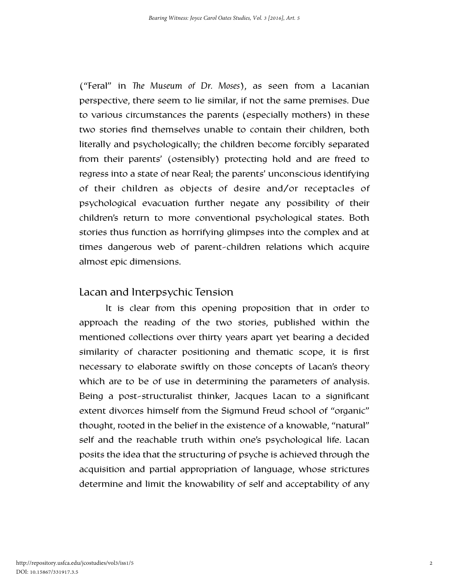("Feral" in *The Museum of Dr. Moses*), as seen from a Lacanian perspective, there seem to lie similar, if not the same premises. Due to various circumstances the parents (especially mothers) in these two stories find themselves unable to contain their children, both literally and psychologically; the children become forcibly separated from their parents' (ostensibly) protecting hold and are freed to regress into a state of near Real; the parents' unconscious identifying of their children as objects of desire and/or receptacles of psychological evacuation further negate any possibility of their children's return to more conventional psychological states. Both stories thus function as horrifying glimpses into the complex and at times dangerous web of parent-children relations which acquire almost epic dimensions.

#### Lacan and Interpsychic Tension

It is clear from this opening proposition that in order to approach the reading of the two stories, published within the mentioned collections over thirty years apart yet bearing a decided similarity of character positioning and thematic scope, it is first necessary to elaborate swiftly on those concepts of Lacan's theory which are to be of use in determining the parameters of analysis. Being a post-structuralist thinker, Jacques Lacan to a significant extent divorces himself from the Sigmund Freud school of "organic" thought, rooted in the belief in the existence of a knowable, "natural" self and the reachable truth within one's psychological life. Lacan posits the idea that the structuring of psyche is achieved through the acquisition and partial appropriation of language, whose strictures determine and limit the knowability of self and acceptability of any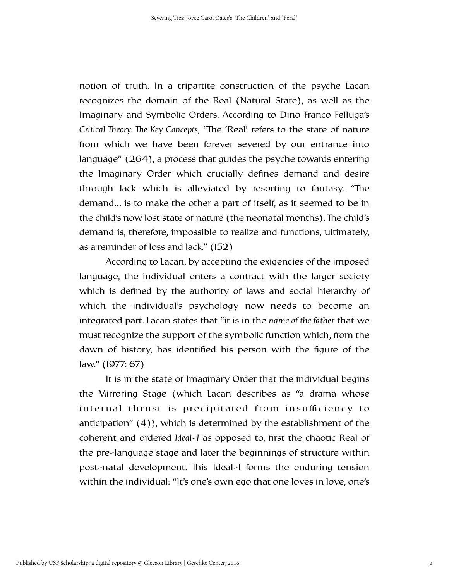notion of truth. In a tripartite construction of the psyche Lacan recognizes the domain of the Real (Natural State), as well as the Imaginary and Symbolic Orders. According to Dino Franco Felluga's *Critical Theory: The Key Concepts, "The 'Real' refers to the state of nature* from which we have been forever severed by our entrance into language" (264), a process that guides the psyche towards entering the Imaginary Order which crucially defines demand and desire through lack which is alleviated by resorting to fantasy. "The demand… is to make the other a part of itself, as it seemed to be in the child's now lost state of nature (the neonatal months). The child's demand is, therefore, impossible to realize and functions, ultimately, as a reminder of loss and lack." (152)

According to Lacan, by accepting the exigencies of the imposed language, the individual enters a contract with the larger society which is defined by the authority of laws and social hierarchy of which the individual's psychology now needs to become an integrated part. Lacan states that "it is in the *name of the father* that we must recognize the support of the symbolic function which, from the dawn of history, has identified his person with the figure of the law." (1977: 67)

It is in the state of Imaginary Order that the individual begins the Mirroring Stage (which Lacan describes as "a drama whose internal thrust is precipitated from insufficiency to anticipation" (4)), which is determined by the establishment of the coherent and ordered *Ideal-I* as opposed to, first the chaotic Real of the pre-language stage and later the beginnings of structure within post-natal development. This Ideal-I forms the enduring tension within the individual: "It's one's own ego that one loves in love, one's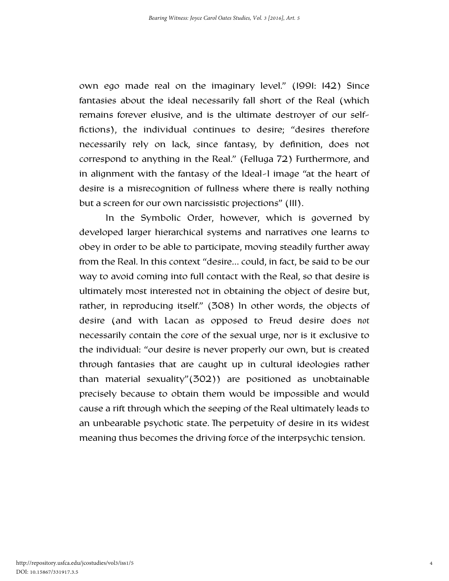own ego made real on the imaginary level." (1991: 142) Since fantasies about the ideal necessarily fall short of the Real (which remains forever elusive, and is the ultimate destroyer of our selffictions), the individual continues to desire; "desires therefore necessarily rely on lack, since fantasy, by definition, does not correspond to anything in the Real." (Felluga 72) Furthermore, and in alignment with the fantasy of the Ideal-I image "at the heart of desire is a misrecognition of fullness where there is really nothing but a screen for our own narcissistic projections" (111).

In the Symbolic Order, however, which is governed by developed larger hierarchical systems and narratives one learns to obey in order to be able to participate, moving steadily further away from the Real. In this context "desire… could, in fact, be said to be our way to avoid coming into full contact with the Real, so that desire is ultimately most interested not in obtaining the object of desire but, rather, in reproducing itself." (308) In other words, the objects of desire (and with Lacan as opposed to Freud desire does *not* necessarily contain the core of the sexual urge, nor is it exclusive to the individual: "our desire is never properly our own, but is created through fantasies that are caught up in cultural ideologies rather than material sexuality"(302)) are positioned as unobtainable precisely because to obtain them would be impossible and would cause a rift through which the seeping of the Real ultimately leads to an unbearable psychotic state. The perpetuity of desire in its widest meaning thus becomes the driving force of the interpsychic tension.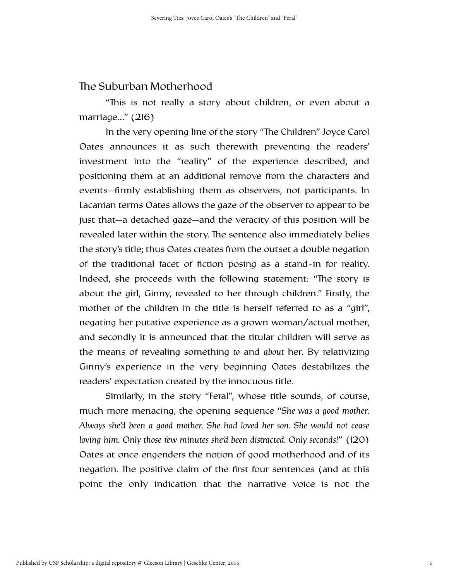#### The Suburban Motherhood

"This is not really a story about children, or even about a marriage…" (216)

In the very opening line of the story "The Children" Joyce Carol Oates announces it as such therewith preventing the readers' investment into the "reality" of the experience described, and positioning them at an additional remove from the characters and events—firmly establishing them as observers, not participants. In Lacanian terms Oates allows the gaze of the observer to appear to be just that—a detached gaze—and the veracity of this position will be revealed later within the story. The sentence also immediately belies the story's title; thus Oates creates from the outset a double negation of the traditional facet of fiction posing as a stand-in for reality. Indeed, she proceeds with the following statement: "The story is about the girl, Ginny, revealed to her through children." Firstly, the mother of the children in the title is herself referred to as a "girl", negating her putative experience as a grown woman/actual mother, and secondly it is announced that the titular children will serve as the means of revealing something *to* and *about* her. By relativizing Ginny's experience in the very beginning Oates destabilizes the readers' expectation created by the innocuous title.

Similarly, in the story "Feral", whose title sounds, of course, much more menacing, the opening sequence "*She was a good mother. Always she'd been a good mother. She had loved her son. She would not cease loving him. Only those few minutes she'd been distracted. Only seconds!*" (120) Oates at once engenders the notion of good motherhood and of its negation. The positive claim of the first four sentences (and at this point the only indication that the narrative voice is not the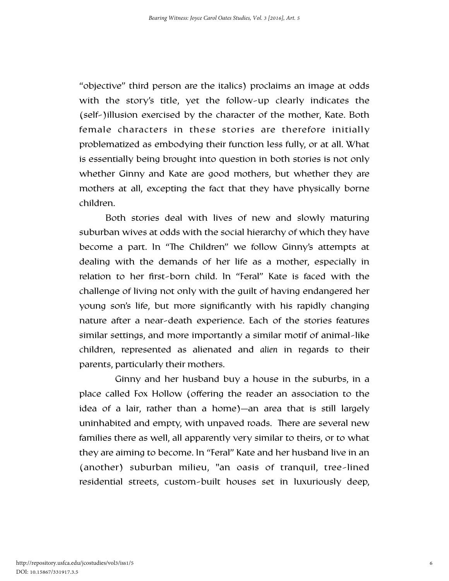"objective" third person are the italics) proclaims an image at odds with the story's title, yet the follow-up clearly indicates the (self-)illusion exercised by the character of the mother, Kate. Both female characters in these stories are therefore initially problematized as embodying their function less fully, or at all. What is essentially being brought into question in both stories is not only whether Ginny and Kate are good mothers, but whether they are mothers at all, excepting the fact that they have physically borne children.

Both stories deal with lives of new and slowly maturing suburban wives at odds with the social hierarchy of which they have become a part. In "The Children" we follow Ginny's attempts at dealing with the demands of her life as a mother, especially in relation to her first-born child. In "Feral" Kate is faced with the challenge of living not only with the guilt of having endangered her young son's life, but more significantly with his rapidly changing nature after a near-death experience. Each of the stories features similar settings, and more importantly a similar motif of animal-like children, represented as alienated and *alien* in regards to their parents, particularly their mothers.

 Ginny and her husband buy a house in the suburbs, in a place called Fox Hollow (offering the reader an association to the idea of a lair, rather than a home)—an area that is still largely uninhabited and empty, with unpaved roads. There are several new families there as well, all apparently very similar to theirs, or to what they are aiming to become. In "Feral" Kate and her husband live in an (another) suburban milieu, "an oasis of tranquil, tree-lined residential streets, custom-built houses set in luxuriously deep,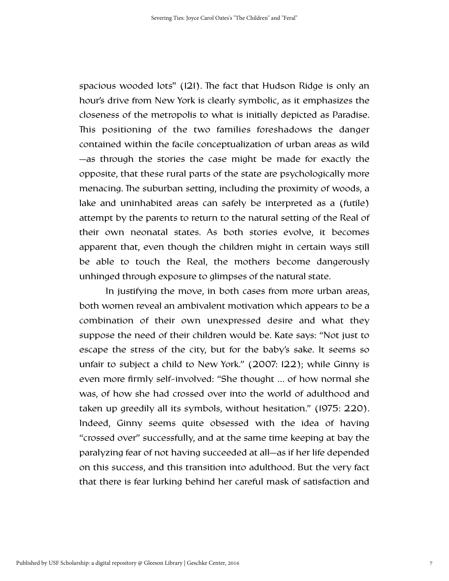spacious wooded lots" (121). The fact that Hudson Ridge is only an hour's drive from New York is clearly symbolic, as it emphasizes the closeness of the metropolis to what is initially depicted as Paradise. This positioning of the two families foreshadows the danger contained within the facile conceptualization of urban areas as wild —as through the stories the case might be made for exactly the opposite, that these rural parts of the state are psychologically more menacing. The suburban setting, including the proximity of woods, a lake and uninhabited areas can safely be interpreted as a (futile) attempt by the parents to return to the natural setting of the Real of their own neonatal states. As both stories evolve, it becomes apparent that, even though the children might in certain ways still be able to touch the Real, the mothers become dangerously unhinged through exposure to glimpses of the natural state.

In justifying the move, in both cases from more urban areas, both women reveal an ambivalent motivation which appears to be a combination of their own unexpressed desire and what they suppose the need of their children would be. Kate says: "Not just to escape the stress of the city, but for the baby's sake. It seems so unfair to subject a child to New York." (2007: 122); while Ginny is even more firmly self-involved: "She thought … of how normal she was, of how she had crossed over into the world of adulthood and taken up greedily all its symbols, without hesitation." (1975: 220). Indeed, Ginny seems quite obsessed with the idea of having "crossed over" successfully, and at the same time keeping at bay the paralyzing fear of not having succeeded at all—as if her life depended on this success, and this transition into adulthood. But the very fact that there is fear lurking behind her careful mask of satisfaction and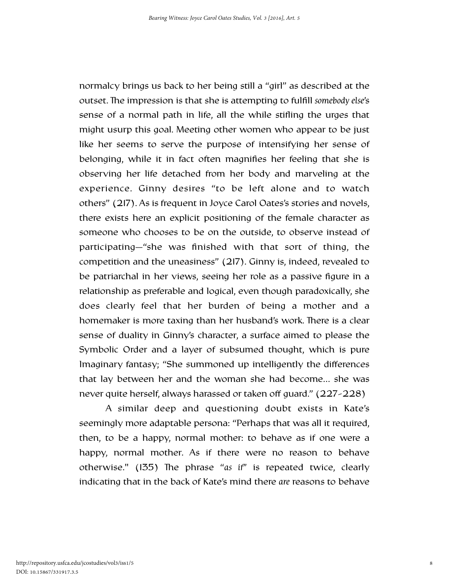normalcy brings us back to her being still a "girl" as described at the outset. The impression is that she is attempting to fulfill *somebody else's* sense of a normal path in life, all the while stifling the urges that might usurp this goal. Meeting other women who appear to be just like her seems to serve the purpose of intensifying her sense of belonging, while it in fact often magnifies her feeling that she is observing her life detached from her body and marveling at the experience. Ginny desires "to be left alone and to watch others" (217). As is frequent in Joyce Carol Oates's stories and novels, there exists here an explicit positioning of the female character as someone who chooses to be on the outside, to observe instead of participating—"she was finished with that sort of thing, the competition and the uneasiness" (217). Ginny is, indeed, revealed to be patriarchal in her views, seeing her role as a passive figure in a relationship as preferable and logical, even though paradoxically, she does clearly feel that her burden of being a mother and a homemaker is more taxing than her husband's work. There is a clear sense of duality in Ginny's character, a surface aimed to please the Symbolic Order and a layer of subsumed thought, which is pure Imaginary fantasy; "She summoned up intelligently the differences that lay between her and the woman she had become… she was never quite herself, always harassed or taken off guard." (227-228)

A similar deep and questioning doubt exists in Kate's seemingly more adaptable persona: "Perhaps that was all it required, then, to be a happy, normal mother: to behave as if one were a happy, normal mother. As if there were no reason to behave otherwise." (135) The phrase "*as if*" is repeated twice, clearly indicating that in the back of Kate's mind there *are* reasons to behave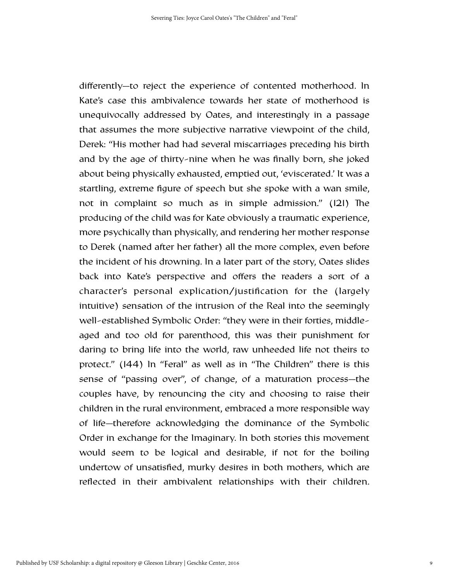differently—to reject the experience of contented motherhood. In Kate's case this ambivalence towards her state of motherhood is unequivocally addressed by Oates, and interestingly in a passage that assumes the more subjective narrative viewpoint of the child, Derek: "His mother had had several miscarriages preceding his birth and by the age of thirty-nine when he was finally born, she joked about being physically exhausted, emptied out, 'eviscerated.' It was a startling, extreme figure of speech but she spoke with a wan smile, not in complaint so much as in simple admission." (121) The producing of the child was for Kate obviously a traumatic experience, more psychically than physically, and rendering her mother response to Derek (named after her father) all the more complex, even before the incident of his drowning. In a later part of the story, Oates slides back into Kate's perspective and offers the readers a sort of a character's personal explication/justification for the (largely intuitive) sensation of the intrusion of the Real into the seemingly well-established Symbolic Order: "they were in their forties, middleaged and too old for parenthood, this was their punishment for daring to bring life into the world, raw unheeded life not theirs to protect."  $(144)$  ln "Feral" as well as in "The Children" there is this sense of "passing over", of change, of a maturation process—the couples have, by renouncing the city and choosing to raise their children in the rural environment, embraced a more responsible way of life—therefore acknowledging the dominance of the Symbolic Order in exchange for the Imaginary. In both stories this movement would seem to be logical and desirable, if not for the boiling undertow of unsatisfied, murky desires in both mothers, which are reflected in their ambivalent relationships with their children.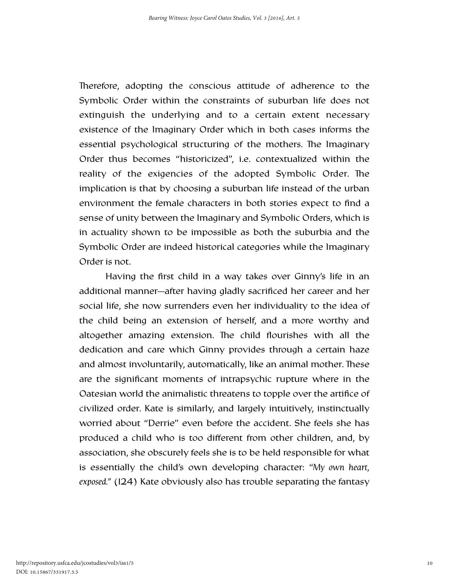Therefore, adopting the conscious attitude of adherence to the Symbolic Order within the constraints of suburban life does not extinguish the underlying and to a certain extent necessary existence of the Imaginary Order which in both cases informs the essential psychological structuring of the mothers. The Imaginary Order thus becomes "historicized", i.e. contextualized within the reality of the exigencies of the adopted Symbolic Order. The implication is that by choosing a suburban life instead of the urban environment the female characters in both stories expect to find a sense of unity between the Imaginary and Symbolic Orders, which is in actuality shown to be impossible as both the suburbia and the Symbolic Order are indeed historical categories while the Imaginary Order is not.

Having the first child in a way takes over Ginny's life in an additional manner—after having gladly sacrificed her career and her social life, she now surrenders even her individuality to the idea of the child being an extension of herself, and a more worthy and altogether amazing extension. The child flourishes with all the dedication and care which Ginny provides through a certain haze and almost involuntarily, automatically, like an animal mother. These are the significant moments of intrapsychic rupture where in the Oatesian world the animalistic threatens to topple over the artifice of civilized order. Kate is similarly, and largely intuitively, instinctually worried about "Derrie" even before the accident. She feels she has produced a child who is too different from other children, and, by association, she obscurely feels she is to be held responsible for what is essentially the child's own developing character: "*My own heart, exposed."* (124) Kate obviously also has trouble separating the fantasy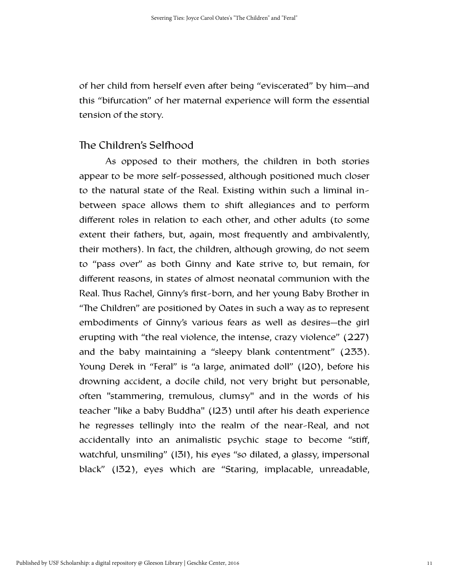of her child from herself even after being "eviscerated" by him—and this "bifurcation" of her maternal experience will form the essential tension of the story.

#### The Children's Selfhood

As opposed to their mothers, the children in both stories appear to be more self-possessed, although positioned much closer to the natural state of the Real. Existing within such a liminal inbetween space allows them to shift allegiances and to perform different roles in relation to each other, and other adults (to some extent their fathers, but, again, most frequently and ambivalently, their mothers). In fact, the children, although growing, do not seem to "pass over" as both Ginny and Kate strive to, but remain, for different reasons, in states of almost neonatal communion with the Real. Thus Rachel, Ginny's first-born, and her young Baby Brother in "The Children" are positioned by Oates in such a way as to represent embodiments of Ginny's various fears as well as desires—the girl erupting with "the real violence, the intense, crazy violence" (227) and the baby maintaining a "sleepy blank contentment" (233). Young Derek in "Feral" is "a large, animated doll" (120), before his drowning accident, a docile child, not very bright but personable, often "stammering, tremulous, clumsy" and in the words of his teacher "like a baby Buddha" (123) until after his death experience he regresses tellingly into the realm of the near-Real, and not accidentally into an animalistic psychic stage to become "stiff, watchful, unsmiling" (131), his eyes "so dilated, a glassy, impersonal black" (132), eyes which are "Staring, implacable, unreadable,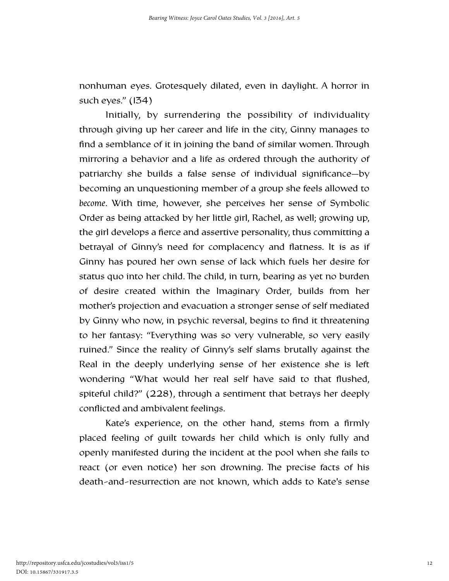nonhuman eyes. Grotesquely dilated, even in daylight. A horror in such eyes." (134)

Initially, by surrendering the possibility of individuality through giving up her career and life in the city, Ginny manages to find a semblance of it in joining the band of similar women. Through mirroring a behavior and a life as ordered through the authority of patriarchy she builds a false sense of individual significance—by becoming an unquestioning member of a group she feels allowed to *become*. With time, however, she perceives her sense of Symbolic Order as being attacked by her little girl, Rachel, as well; growing up, the girl develops a fierce and assertive personality, thus committing a betrayal of Ginny's need for complacency and flatness. It is as if Ginny has poured her own sense of lack which fuels her desire for status quo into her child. The child, in turn, bearing as yet no burden of desire created within the Imaginary Order, builds from her mother's projection and evacuation a stronger sense of self mediated by Ginny who now, in psychic reversal, begins to find it threatening to her fantasy: "Everything was so very vulnerable, so very easily ruined." Since the reality of Ginny's self slams brutally against the Real in the deeply underlying sense of her existence she is left wondering "What would her real self have said to that flushed, spiteful child?" (228), through a sentiment that betrays her deeply conflicted and ambivalent feelings.

Kate's experience, on the other hand, stems from a firmly placed feeling of guilt towards her child which is only fully and openly manifested during the incident at the pool when she fails to react (or even notice) her son drowning. The precise facts of his death-and-resurrection are not known, which adds to Kate's sense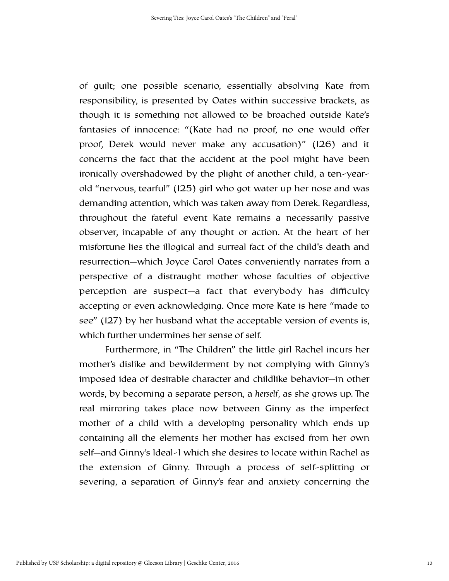of guilt; one possible scenario, essentially absolving Kate from responsibility, is presented by Oates within successive brackets, as though it is something not allowed to be broached outside Kate's fantasies of innocence: "(Kate had no proof, no one would offer proof, Derek would never make any accusation)" (126) and it concerns the fact that the accident at the pool might have been ironically overshadowed by the plight of another child, a ten-yearold "nervous, tearful" (125) girl who got water up her nose and was demanding attention, which was taken away from Derek. Regardless, throughout the fateful event Kate remains a necessarily passive observer, incapable of any thought or action. At the heart of her misfortune lies the illogical and surreal fact of the child's death and resurrection—which Joyce Carol Oates conveniently narrates from a perspective of a distraught mother whose faculties of objective perception are suspect—a fact that everybody has difficulty accepting or even acknowledging. Once more Kate is here "made to see" (127) by her husband what the acceptable version of events is, which further undermines her sense of self.

Furthermore, in "The Children" the little girl Rachel incurs her mother's dislike and bewilderment by not complying with Ginny's imposed idea of desirable character and childlike behavior—in other words, by becoming a separate person, a *herself*, as she grows up. The real mirroring takes place now between Ginny as the imperfect mother of a child with a developing personality which ends up containing all the elements her mother has excised from her own self—and Ginny's Ideal-I which she desires to locate within Rachel as the extension of Ginny. Through a process of self-splitting or severing, a separation of Ginny's fear and anxiety concerning the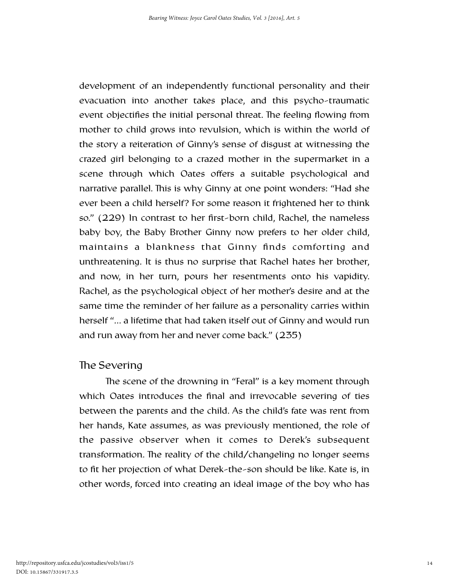development of an independently functional personality and their evacuation into another takes place, and this psycho-traumatic event objectifies the initial personal threat. The feeling flowing from mother to child grows into revulsion, which is within the world of the story a reiteration of Ginny's sense of disgust at witnessing the crazed girl belonging to a crazed mother in the supermarket in a scene through which Oates offers a suitable psychological and narrative parallel. This is why Ginny at one point wonders: "Had she ever been a child herself? For some reason it frightened her to think so." (229) In contrast to her first-born child, Rachel, the nameless baby boy, the Baby Brother Ginny now prefers to her older child, maintains a blankness that Ginny finds comforting and unthreatening. It is thus no surprise that Rachel hates her brother, and now, in her turn, pours her resentments onto his vapidity. Rachel, as the psychological object of her mother's desire and at the same time the reminder of her failure as a personality carries within herself "… a lifetime that had taken itself out of Ginny and would run and run away from her and never come back." (235)

#### The Severing

The scene of the drowning in "Feral" is a key moment through which Oates introduces the final and irrevocable severing of ties between the parents and the child. As the child's fate was rent from her hands, Kate assumes, as was previously mentioned, the role of the passive observer when it comes to Derek's subsequent transformation. The reality of the child/changeling no longer seems to fit her projection of what Derek-the-son should be like. Kate is, in other words, forced into creating an ideal image of the boy who has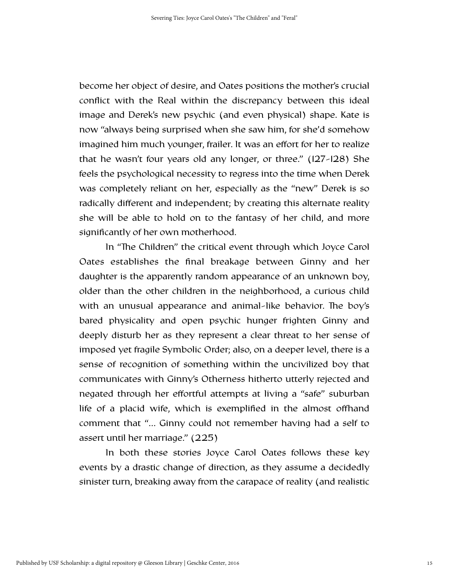become her object of desire, and Oates positions the mother's crucial conflict with the Real within the discrepancy between this ideal image and Derek's new psychic (and even physical) shape. Kate is now "always being surprised when she saw him, for she'd somehow imagined him much younger, frailer. It was an effort for her to realize that he wasn't four years old any longer, or three." (127-128) She feels the psychological necessity to regress into the time when Derek was completely reliant on her, especially as the "new" Derek is so radically different and independent; by creating this alternate reality she will be able to hold on to the fantasy of her child, and more significantly of her own motherhood.

In "The Children" the critical event through which Joyce Carol Oates establishes the final breakage between Ginny and her daughter is the apparently random appearance of an unknown boy, older than the other children in the neighborhood, a curious child with an unusual appearance and animal-like behavior. The boy's bared physicality and open psychic hunger frighten Ginny and deeply disturb her as they represent a clear threat to her sense of imposed yet fragile Symbolic Order; also, on a deeper level, there is a sense of recognition of something within the uncivilized boy that communicates with Ginny's Otherness hitherto utterly rejected and negated through her effortful attempts at living a "safe" suburban life of a placid wife, which is exemplified in the almost offhand comment that "… Ginny could not remember having had a self to assert until her marriage." (225)

In both these stories Joyce Carol Oates follows these key events by a drastic change of direction, as they assume a decidedly sinister turn, breaking away from the carapace of reality (and realistic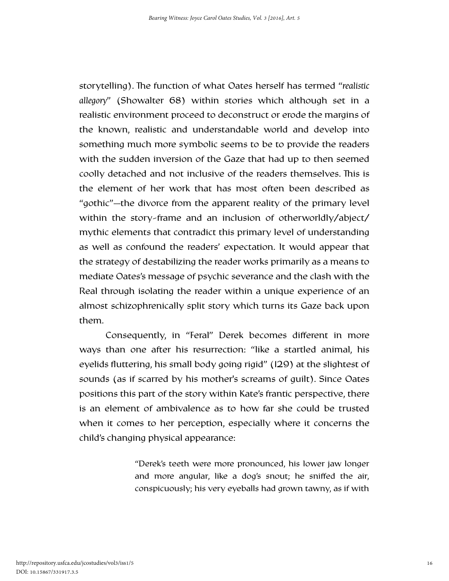storytelling). The function of what Oates herself has termed "*realistic allegory*" (Showalter 68) within stories which although set in a realistic environment proceed to deconstruct or erode the margins of the known, realistic and understandable world and develop into something much more symbolic seems to be to provide the readers with the sudden inversion of the Gaze that had up to then seemed coolly detached and not inclusive of the readers themselves. This is the element of her work that has most often been described as "gothic"—the divorce from the apparent reality of the primary level within the story-frame and an inclusion of otherworldly/abject/ mythic elements that contradict this primary level of understanding as well as confound the readers' expectation. It would appear that the strategy of destabilizing the reader works primarily as a means to mediate Oates's message of psychic severance and the clash with the Real through isolating the reader within a unique experience of an almost schizophrenically split story which turns its Gaze back upon them.

Consequently, in "Feral" Derek becomes different in more ways than one after his resurrection: "like a startled animal, his eyelids fluttering, his small body going rigid" (129) at the slightest of sounds (as if scarred by his mother's screams of guilt). Since Oates positions this part of the story within Kate's frantic perspective, there is an element of ambivalence as to how far she could be trusted when it comes to her perception, especially where it concerns the child's changing physical appearance:

> "Derek's teeth were more pronounced, his lower jaw longer and more angular, like a dog's snout; he sniffed the air, conspicuously; his very eyeballs had grown tawny, as if with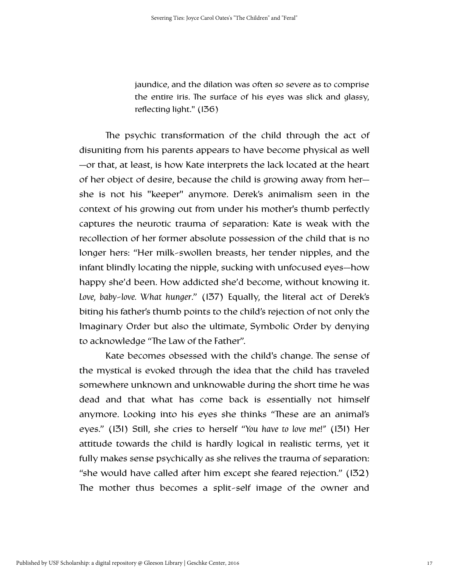jaundice, and the dilation was often so severe as to comprise the entire iris. The surface of his eyes was slick and glassy, reflecting light." (136)

The psychic transformation of the child through the act of disuniting from his parents appears to have become physical as well —or that, at least, is how Kate interprets the lack located at the heart of her object of desire, because the child is growing away from her she is not his "keeper" anymore. Derek's animalism seen in the context of his growing out from under his mother's thumb perfectly captures the neurotic trauma of separation: Kate is weak with the recollection of her former absolute possession of the child that is no longer hers: "Her milk-swollen breasts, her tender nipples, and the infant blindly locating the nipple, sucking with unfocused eyes—how happy she'd been. How addicted she'd become, without knowing it. *Love, baby-love. What hunger*." (137) Equally, the literal act of Derek's biting his father's thumb points to the child's rejection of not only the Imaginary Order but also the ultimate, Symbolic Order by denying to acknowledge "The Law of the Father".

Kate becomes obsessed with the child's change. The sense of the mystical is evoked through the idea that the child has traveled somewhere unknown and unknowable during the short time he was dead and that what has come back is essentially not himself anymore. Looking into his eyes she thinks "These are an animal's eyes." (131) Still, she cries to herself "*You have to love me!"* (131) Her attitude towards the child is hardly logical in realistic terms, yet it fully makes sense psychically as she relives the trauma of separation: "she would have called after him except she feared rejection." (132) The mother thus becomes a split-self image of the owner and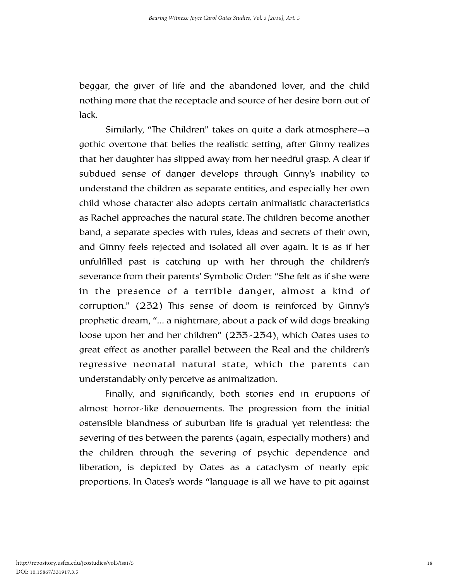beggar, the giver of life and the abandoned lover, and the child nothing more that the receptacle and source of her desire born out of lack.

Similarly, "The Children" takes on quite a dark atmosphere—a gothic overtone that belies the realistic setting, after Ginny realizes that her daughter has slipped away from her needful grasp. A clear if subdued sense of danger develops through Ginny's inability to understand the children as separate entities, and especially her own child whose character also adopts certain animalistic characteristics as Rachel approaches the natural state. The children become another band, a separate species with rules, ideas and secrets of their own, and Ginny feels rejected and isolated all over again. It is as if her unfulfilled past is catching up with her through the children's severance from their parents' Symbolic Order: "She felt as if she were in the presence of a terrible danger, almost a kind of corruption."  $(232)$  This sense of doom is reinforced by Ginny's prophetic dream, "… a nightmare, about a pack of wild dogs breaking loose upon her and her children" (233-234), which Oates uses to great effect as another parallel between the Real and the children's regressive neonatal natural state, which the parents can understandably only perceive as animalization.

Finally, and significantly, both stories end in eruptions of almost horror-like denouements. The progression from the initial ostensible blandness of suburban life is gradual yet relentless: the severing of ties between the parents (again, especially mothers) and the children through the severing of psychic dependence and liberation, is depicted by Oates as a cataclysm of nearly epic proportions. In Oates's words "language is all we have to pit against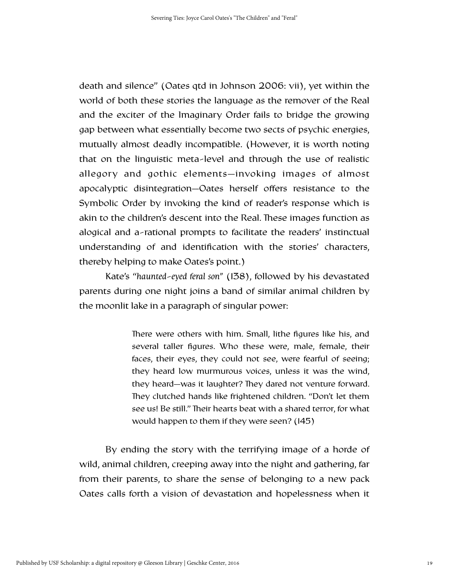death and silence" (Oates qtd in Johnson 2006: vii), yet within the world of both these stories the language as the remover of the Real and the exciter of the Imaginary Order fails to bridge the growing gap between what essentially become two sects of psychic energies, mutually almost deadly incompatible. (However, it is worth noting that on the linguistic meta-level and through the use of realistic allegory and gothic elements—invoking images of almost apocalyptic disintegration—Oates herself offers resistance to the Symbolic Order by invoking the kind of reader's response which is akin to the children's descent into the Real. These images function as alogical and a-rational prompts to facilitate the readers' instinctual understanding of and identification with the stories' characters, thereby helping to make Oates's point.)

Kate's "*haunted-eyed feral son"* (138), followed by his devastated parents during one night joins a band of similar animal children by the moonlit lake in a paragraph of singular power:

> There were others with him. Small, lithe figures like his, and several taller figures. Who these were, male, female, their faces, their eyes, they could not see, were fearful of seeing; they heard low murmurous voices, unless it was the wind, they heard—was it laughter? They dared not venture forward. They clutched hands like frightened children. "Don't let them see us! Be still." Their hearts beat with a shared terror, for what would happen to them if they were seen? (145)

By ending the story with the terrifying image of a horde of wild, animal children, creeping away into the night and gathering, far from their parents, to share the sense of belonging to a new pack Oates calls forth a vision of devastation and hopelessness when it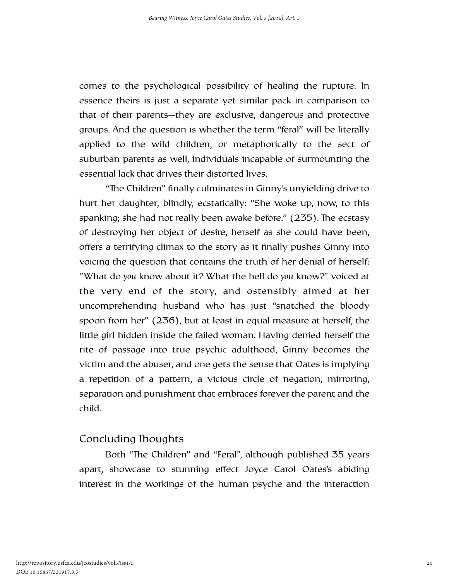comes to the psychological possibility of healing the rupture. In essence theirs is just a separate yet similar pack in comparison to that of their parents—they are exclusive, dangerous and protective groups. And the question is whether the term "feral" will be literally applied to the wild children, or metaphorically to the sect of suburban parents as well, individuals incapable of surmounting the essential lack that drives their distorted lives.

"The Children" finally culminates in Ginny's unyielding drive to hurt her daughter, blindly, ecstatically: "She woke up, now, to this spanking; she had not really been awake before." (235). The ecstasy of destroying her object of desire, herself as she could have been, offers a terrifying climax to the story as it finally pushes Ginny into voicing the question that contains the truth of her denial of herself: "What do *you* know about it? What the hell do *you* know?" voiced at the very end of the story, and ostensibly aimed at her uncomprehending husband who has just "snatched the bloody spoon from her" (236), but at least in equal measure at herself, the little girl hidden inside the failed woman. Having denied herself the rite of passage into true psychic adulthood, Ginny becomes the victim and the abuser, and one gets the sense that Oates is implying a repetition of a pattern, a vicious circle of negation, mirroring, separation and punishment that embraces forever the parent and the child.

#### Concluding Thoughts

Both "The Children" and "Feral", although published 35 years apart, showcase to stunning effect Joyce Carol Oates's abiding interest in the workings of the human psyche and the interaction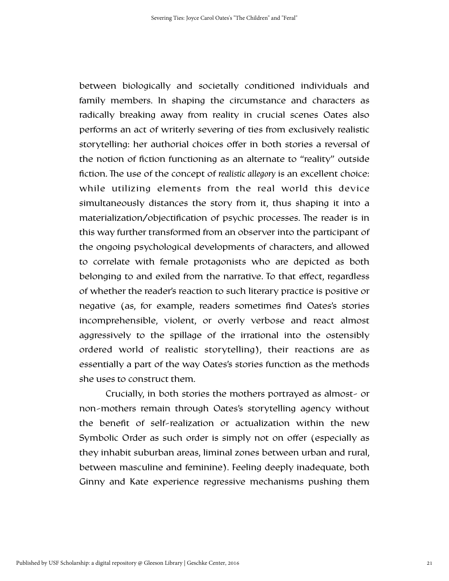between biologically and societally conditioned individuals and family members. In shaping the circumstance and characters as radically breaking away from reality in crucial scenes Oates also performs an act of writerly severing of ties from exclusively realistic storytelling: her authorial choices offer in both stories a reversal of the notion of fiction functioning as an alternate to "reality" outside fiction. The use of the concept of *realistic allegory* is an excellent choice: while utilizing elements from the real world this device simultaneously distances the story from it, thus shaping it into a materialization/objectification of psychic processes. The reader is in this way further transformed from an observer into the participant of the ongoing psychological developments of characters, and allowed to correlate with female protagonists who are depicted as both belonging to and exiled from the narrative. To that effect, regardless of whether the reader's reaction to such literary practice is positive or negative (as, for example, readers sometimes find Oates's stories incomprehensible, violent, or overly verbose and react almost aggressively to the spillage of the irrational into the ostensibly ordered world of realistic storytelling), their reactions are as essentially a part of the way Oates's stories function as the methods she uses to construct them.

Crucially, in both stories the mothers portrayed as almost- or non-mothers remain through Oates's storytelling agency without the benefit of self-realization or actualization within the new Symbolic Order as such order is simply not on offer (especially as they inhabit suburban areas, liminal zones between urban and rural, between masculine and feminine). Feeling deeply inadequate, both Ginny and Kate experience regressive mechanisms pushing them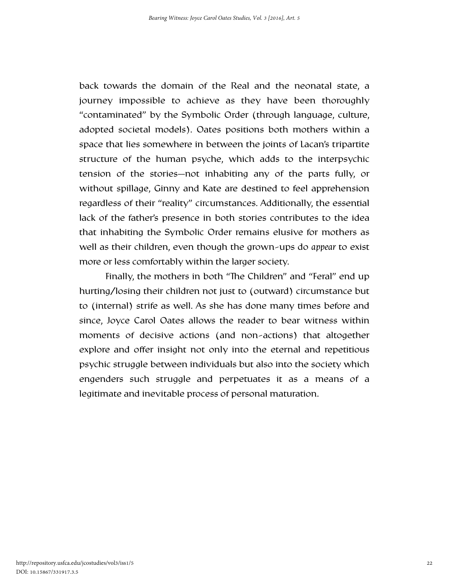back towards the domain of the Real and the neonatal state, a journey impossible to achieve as they have been thoroughly "contaminated" by the Symbolic Order (through language, culture, adopted societal models). Oates positions both mothers within a space that lies somewhere in between the joints of Lacan's tripartite structure of the human psyche, which adds to the interpsychic tension of the stories—not inhabiting any of the parts fully, or without spillage, Ginny and Kate are destined to feel apprehension regardless of their "reality" circumstances. Additionally, the essential lack of the father's presence in both stories contributes to the idea that inhabiting the Symbolic Order remains elusive for mothers as well as their children, even though the grown-ups do *appear* to exist more or less comfortably within the larger society.

Finally, the mothers in both "The Children" and "Feral" end up hurting/losing their children not just to (outward) circumstance but to (internal) strife as well. As she has done many times before and since, Joyce Carol Oates allows the reader to bear witness within moments of decisive actions (and non-actions) that altogether explore and offer insight not only into the eternal and repetitious psychic struggle between individuals but also into the society which engenders such struggle and perpetuates it as a means of a legitimate and inevitable process of personal maturation.